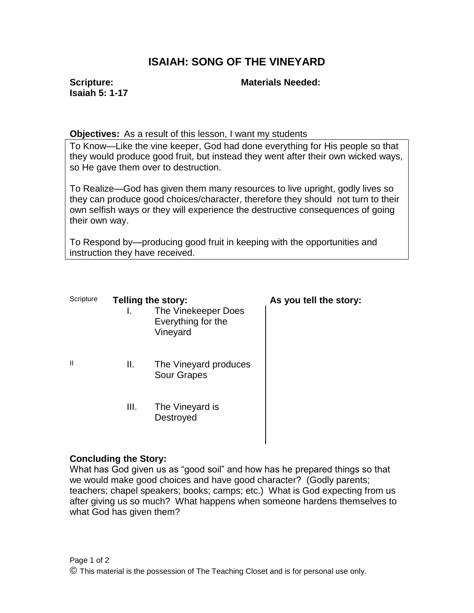# **ISAIAH: SONG OF THE VINEYARD**

**Scripture: Isaiah 5: 1-17**

### **Materials Needed:**

#### **Objectives:** As a result of this lesson, I want my students

To Know—Like the vine keeper, God had done everything for His people so that they would produce good fruit, but instead they went after their own wicked ways, so He gave them over to destruction.

To Realize—God has given them many resources to live upright, godly lives so they can produce good choices/character, therefore they should not turn to their own selfish ways or they will experience the destructive consequences of going their own way.

To Respond by—producing good fruit in keeping with the opportunities and instruction they have received.

| Scripture |      | <b>Telling the story:</b><br>The Vinekeeper Does<br>Everything for the<br>Vineyard | As you tell the story: |
|-----------|------|------------------------------------------------------------------------------------|------------------------|
| Ш         | ΙΙ.  | The Vineyard produces<br><b>Sour Grapes</b>                                        |                        |
|           | III. | The Vineyard is<br>Destroyed                                                       |                        |

### **Concluding the Story:**

What has God given us as "good soil" and how has he prepared things so that we would make good choices and have good character? (Godly parents; teachers; chapel speakers; books; camps; etc.) What is God expecting from us after giving us so much? What happens when someone hardens themselves to what God has given them?